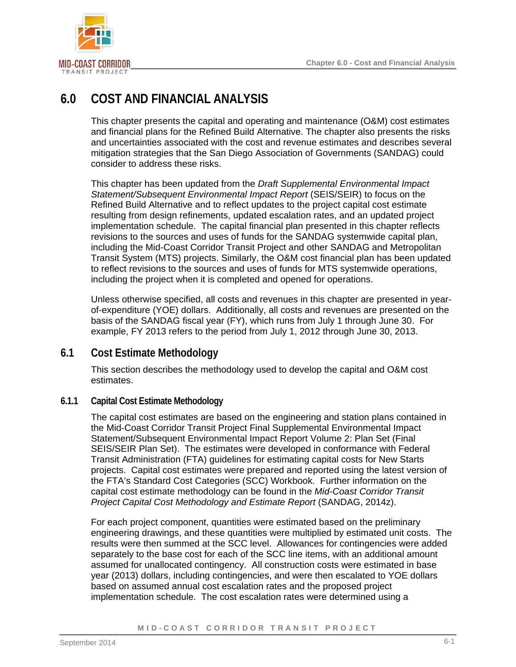

# **6.0 COST AND FINANCIAL ANALYSIS**

This chapter presents the capital and operating and maintenance (O&M) cost estimates and financial plans for the Refined Build Alternative. The chapter also presents the risks and uncertainties associated with the cost and revenue estimates and describes several mitigation strategies that the San Diego Association of Governments (SANDAG) could consider to address these risks.

This chapter has been updated from the *Draft Supplemental Environmental Impact Statement/Subsequent Environmental Impact Report* (SEIS/SEIR) to focus on the Refined Build Alternative and to reflect updates to the project capital cost estimate resulting from design refinements, updated escalation rates, and an updated project implementation schedule. The capital financial plan presented in this chapter reflects revisions to the sources and uses of funds for the SANDAG systemwide capital plan, including the Mid-Coast Corridor Transit Project and other SANDAG and Metropolitan Transit System (MTS) projects. Similarly, the O&M cost financial plan has been updated to reflect revisions to the sources and uses of funds for MTS systemwide operations, including the project when it is completed and opened for operations.

Unless otherwise specified, all costs and revenues in this chapter are presented in yearof-expenditure (YOE) dollars. Additionally, all costs and revenues are presented on the basis of the SANDAG fiscal year (FY), which runs from July 1 through June 30. For example, FY 2013 refers to the period from July 1, 2012 through June 30, 2013.

## **6.1 Cost Estimate Methodology**

This section describes the methodology used to develop the capital and O&M cost estimates.

## **6.1.1 Capital Cost Estimate Methodology**

The capital cost estimates are based on the engineering and station plans contained in the Mid-Coast Corridor Transit Project Final Supplemental Environmental Impact Statement/Subsequent Environmental Impact Report Volume 2: Plan Set (Final SEIS/SEIR Plan Set). The estimates were developed in conformance with Federal Transit Administration (FTA) guidelines for estimating capital costs for New Starts projects. Capital cost estimates were prepared and reported using the latest version of the FTA's Standard Cost Categories (SCC) Workbook. Further information on the capital cost estimate methodology can be found in the *Mid-Coast Corridor Transit Project Capital Cost Methodology and Estimate Report* (SANDAG, 2014z).

For each project component, quantities were estimated based on the preliminary engineering drawings, and these quantities were multiplied by estimated unit costs. The results were then summed at the SCC level. Allowances for contingencies were added separately to the base cost for each of the SCC line items, with an additional amount assumed for unallocated contingency. All construction costs were estimated in base year (2013) dollars, including contingencies, and were then escalated to YOE dollars based on assumed annual cost escalation rates and the proposed project implementation schedule. The cost escalation rates were determined using a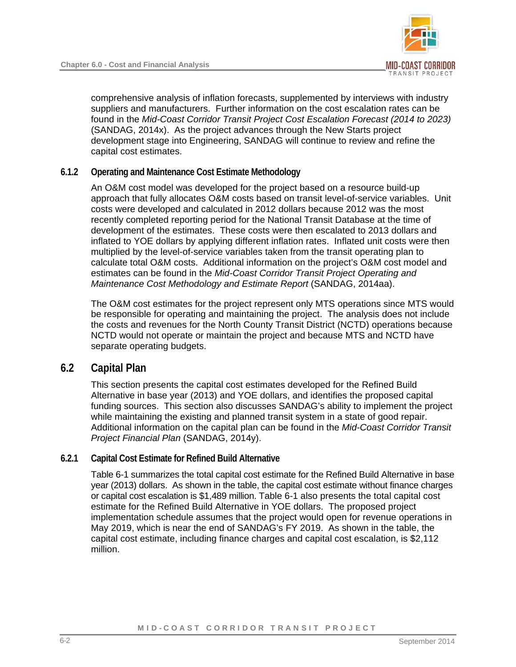

comprehensive analysis of inflation forecasts, supplemented by interviews with industry suppliers and manufacturers. Further information on the cost escalation rates can be found in the *Mid-Coast Corridor Transit Project Cost Escalation Forecast (2014 to 2023)* (SANDAG, 2014x). As the project advances through the New Starts project development stage into Engineering, SANDAG will continue to review and refine the capital cost estimates.

## **6.1.2 Operating and Maintenance Cost Estimate Methodology**

An O&M cost model was developed for the project based on a resource build-up approach that fully allocates O&M costs based on transit level-of-service variables. Unit costs were developed and calculated in 2012 dollars because 2012 was the most recently completed reporting period for the National Transit Database at the time of development of the estimates. These costs were then escalated to 2013 dollars and inflated to YOE dollars by applying different inflation rates. Inflated unit costs were then multiplied by the level-of-service variables taken from the transit operating plan to calculate total O&M costs. Additional information on the project's O&M cost model and estimates can be found in the *Mid-Coast Corridor Transit Project Operating and Maintenance Cost Methodology and Estimate Report* (SANDAG, 2014aa).

The O&M cost estimates for the project represent only MTS operations since MTS would be responsible for operating and maintaining the project. The analysis does not include the costs and revenues for the North County Transit District (NCTD) operations because NCTD would not operate or maintain the project and because MTS and NCTD have separate operating budgets.

## **6.2 Capital Plan**

This section presents the capital cost estimates developed for the Refined Build Alternative in base year (2013) and YOE dollars, and identifies the proposed capital funding sources. This section also discusses SANDAG's ability to implement the project while maintaining the existing and planned transit system in a state of good repair. Additional information on the capital plan can be found in the *Mid-Coast Corridor Transit Project Financial Plan* (SANDAG, 2014y).

## **6.2.1 Capital Cost Estimate for Refined Build Alternative**

[Table 6-1](#page-2-0) summarizes the total capital cost estimate for the Refined Build Alternative in base year (2013) dollars. As shown in the table, the capital cost estimate without finance charges or capital cost escalation is \$1,489 million. [Table 6-1](#page-2-0) also presents the total capital cost estimate for the Refined Build Alternative in YOE dollars. The proposed project implementation schedule assumes that the project would open for revenue operations in May 2019, which is near the end of SANDAG's FY 2019. As shown in the table, the capital cost estimate, including finance charges and capital cost escalation, is \$2,112 million.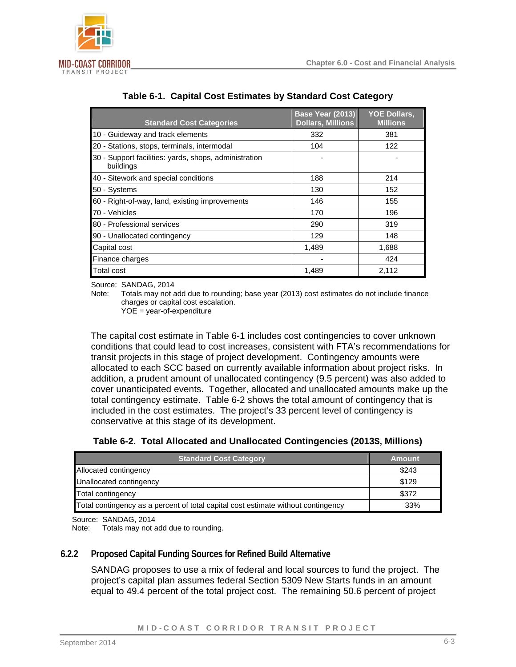

| <b>Standard Cost Categories</b>                                    | <b>Base Year (2013)</b><br><b>Dollars, Millions</b> | <b>YOE Dollars,</b><br><b>Millions</b> |
|--------------------------------------------------------------------|-----------------------------------------------------|----------------------------------------|
| 10 - Guideway and track elements                                   | 332                                                 | 381                                    |
| 20 - Stations, stops, terminals, intermodal                        | 104                                                 | 122                                    |
| 30 - Support facilities: yards, shops, administration<br>buildings |                                                     |                                        |
| 40 - Sitework and special conditions                               | 188                                                 | 214                                    |
| 50 - Systems                                                       | 130                                                 | 152                                    |
| 60 - Right-of-way, land, existing improvements                     | 146                                                 | 155                                    |
| 70 - Vehicles                                                      | 170                                                 | 196                                    |
| 80 - Professional services                                         | 290                                                 | 319                                    |
| 90 - Unallocated contingency                                       | 129                                                 | 148                                    |
| Capital cost                                                       | 1.489                                               | 1,688                                  |
| Finance charges                                                    |                                                     | 424                                    |
| Total cost                                                         | 1.489                                               | 2,112                                  |

## <span id="page-2-0"></span>**Table 6-1. Capital Cost Estimates by Standard Cost Category**

Source: SANDAG, 2014

Note: Totals may not add due to rounding; base year (2013) cost estimates do not include finance charges or capital cost escalation.

YOE = year-of-expenditure

The capital cost estimate in [Table 6-1](#page-2-0) includes cost contingencies to cover unknown conditions that could lead to cost increases, consistent with FTA's recommendations for transit projects in this stage of project development. Contingency amounts were allocated to each SCC based on currently available information about project risks. In addition, a prudent amount of unallocated contingency (9.5 percent) was also added to cover unanticipated events. Together, allocated and unallocated amounts make up the total contingency estimate. [Table 6-2](#page-2-1) shows the total amount of contingency that is included in the cost estimates. The project's 33 percent level of contingency is conservative at this stage of its development.

<span id="page-2-1"></span>

|  |  | Table 6-2. Total Allocated and Unallocated Contingencies (2013\$, Millions) |  |  |  |
|--|--|-----------------------------------------------------------------------------|--|--|--|
|--|--|-----------------------------------------------------------------------------|--|--|--|

| <b>Standard Cost Category</b>                                                     | <b>Amount</b> |
|-----------------------------------------------------------------------------------|---------------|
| Allocated contingency                                                             | \$243         |
| Unallocated contingency                                                           | \$129         |
| Total contingency                                                                 | \$372         |
| Total contingency as a percent of total capital cost estimate without contingency | 33%           |

Source: SANDAG, 2014

Note: Totals may not add due to rounding.

## **6.2.2 Proposed Capital Funding Sources for Refined Build Alternative**

SANDAG proposes to use a mix of federal and local sources to fund the project. The project's capital plan assumes federal Section 5309 New Starts funds in an amount equal to 49.4 percent of the total project cost. The remaining 50.6 percent of project

MID-COAST CORRIDOR TRANSIT PROJECT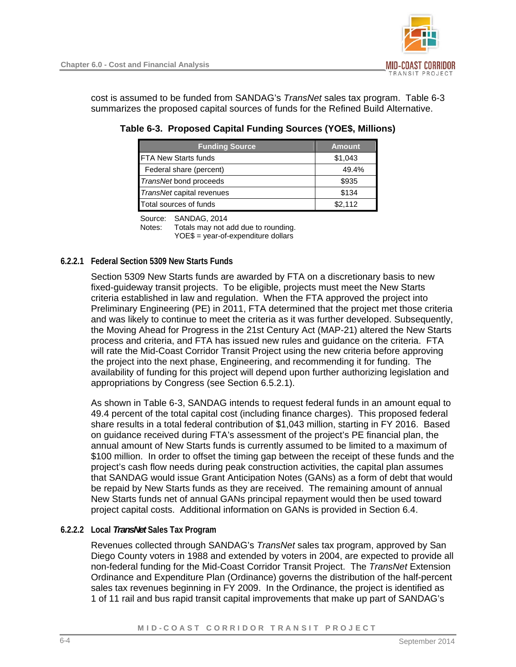cost is assumed to be funded from SANDAG's *TransNet* sales tax program. [Table 6-3](#page-3-0)  summarizes the proposed capital sources of funds for the Refined Build Alternative.

| <b>Funding Source</b>     | <b>Amount</b> |
|---------------------------|---------------|
| FTA New Starts funds      | \$1,043       |
| Federal share (percent)   | 49.4%         |
| TransNet bond proceeds    | \$935         |
| TransNet capital revenues | \$134         |
| Total sources of funds    | \$2.112       |

<span id="page-3-0"></span>**Table 6-3. Proposed Capital Funding Sources (YOE\$, Millions)** 

Source: SANDAG, 2014

Notes: Totals may not add due to rounding. YOE\$ = year-of-expenditure dollars

## **6.2.2.1 Federal Section 5309 New Starts Funds**

Section 5309 New Starts funds are awarded by FTA on a discretionary basis to new fixed-guideway transit projects. To be eligible, projects must meet the New Starts criteria established in law and regulation. When the FTA approved the project into Preliminary Engineering (PE) in 2011, FTA determined that the project met those criteria and was likely to continue to meet the criteria as it was further developed. Subsequently, the Moving Ahead for Progress in the 21st Century Act (MAP-21) altered the New Starts process and criteria, and FTA has issued new rules and guidance on the criteria. FTA will rate the Mid-Coast Corridor Transit Project using the new criteria before approving the project into the next phase, Engineering, and recommending it for funding. The availability of funding for this project will depend upon further authorizing legislation and appropriations by Congress (see Section [6.5.2.1](#page-11-0)).

As shown in [Table 6-3,](#page-3-0) SANDAG intends to request federal funds in an amount equal to 49.4 percent of the total capital cost (including finance charges). This proposed federal share results in a total federal contribution of \$1,043 million, starting in FY 2016. Based on guidance received during FTA's assessment of the project's PE financial plan, the annual amount of New Starts funds is currently assumed to be limited to a maximum of \$100 million. In order to offset the timing gap between the receipt of these funds and the project's cash flow needs during peak construction activities, the capital plan assumes that SANDAG would issue Grant Anticipation Notes (GANs) as a form of debt that would be repaid by New Starts funds as they are received. The remaining amount of annual New Starts funds net of annual GANs principal repayment would then be used toward project capital costs. Additional information on GANs is provided in Section [6.4](#page-7-0).

## **6.2.2.2 Local** *TransNet* **Sales Tax Program**

Revenues collected through SANDAG's *TransNet* sales tax program, approved by San Diego County voters in 1988 and extended by voters in 2004, are expected to provide all non-federal funding for the Mid-Coast Corridor Transit Project. The *TransNet* Extension Ordinance and Expenditure Plan (Ordinance) governs the distribution of the half-percent sales tax revenues beginning in FY 2009. In the Ordinance, the project is identified as 1 of 11 rail and bus rapid transit capital improvements that make up part of SANDAG's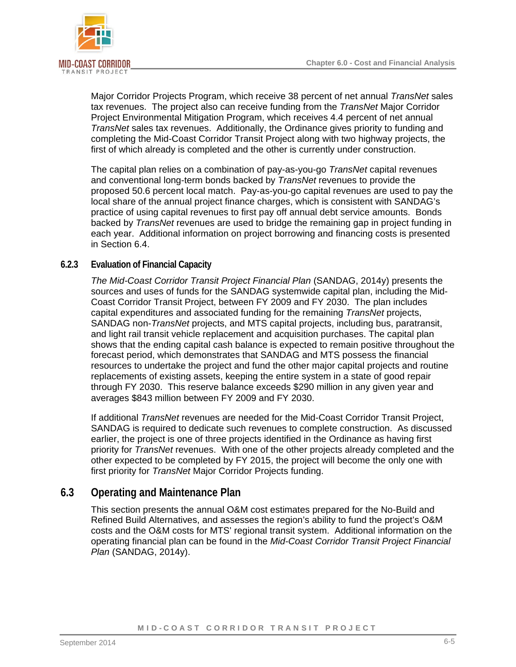

Major Corridor Projects Program, which receive 38 percent of net annual *TransNet* sales tax revenues. The project also can receive funding from the *TransNet* Major Corridor Project Environmental Mitigation Program, which receives 4.4 percent of net annual *TransNet* sales tax revenues. Additionally, the Ordinance gives priority to funding and completing the Mid-Coast Corridor Transit Project along with two highway projects, the first of which already is completed and the other is currently under construction.

The capital plan relies on a combination of pay-as-you-go *TransNet* capital revenues and conventional long-term bonds backed by *TransNet* revenues to provide the proposed 50.6 percent local match. Pay-as-you-go capital revenues are used to pay the local share of the annual project finance charges, which is consistent with SANDAG's practice of using capital revenues to first pay off annual debt service amounts. Bonds backed by *TransNet* revenues are used to bridge the remaining gap in project funding in each year. Additional information on project borrowing and financing costs is presented in Section [6.4.](#page-7-0)

## **6.2.3 Evaluation of Financial Capacity**

*The Mid-Coast Corridor Transit Project Financial Plan* (SANDAG, 2014y) presents the sources and uses of funds for the SANDAG systemwide capital plan, including the Mid-Coast Corridor Transit Project, between FY 2009 and FY 2030. The plan includes capital expenditures and associated funding for the remaining *TransNet* projects, SANDAG non-*TransNet* projects, and MTS capital projects, including bus, paratransit, and light rail transit vehicle replacement and acquisition purchases. The capital plan shows that the ending capital cash balance is expected to remain positive throughout the forecast period, which demonstrates that SANDAG and MTS possess the financial resources to undertake the project and fund the other major capital projects and routine replacements of existing assets, keeping the entire system in a state of good repair through FY 2030. This reserve balance exceeds \$290 million in any given year and averages \$843 million between FY 2009 and FY 2030.

If additional *TransNet* revenues are needed for the Mid-Coast Corridor Transit Project, SANDAG is required to dedicate such revenues to complete construction. As discussed earlier, the project is one of three projects identified in the Ordinance as having first priority for *TransNet* revenues. With one of the other projects already completed and the other expected to be completed by FY 2015, the project will become the only one with first priority for *TransNet* Major Corridor Projects funding.

## **6.3 Operating and Maintenance Plan**

This section presents the annual O&M cost estimates prepared for the No-Build and Refined Build Alternatives, and assesses the region's ability to fund the project's O&M costs and the O&M costs for MTS' regional transit system. Additional information on the operating financial plan can be found in the *Mid-Coast Corridor Transit Project Financial Plan* (SANDAG, 2014y).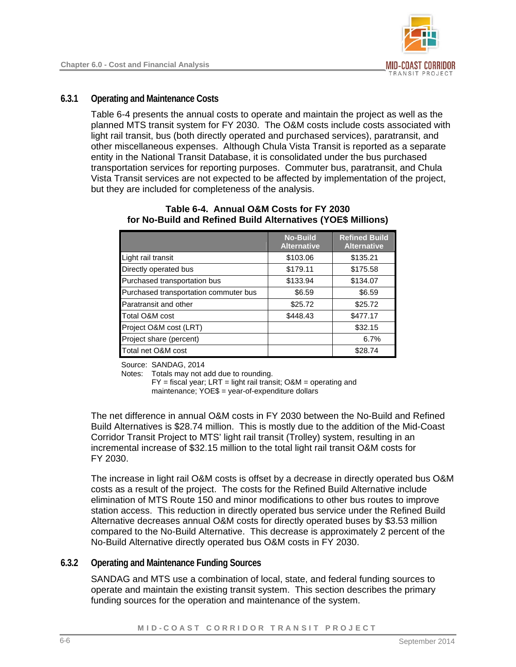## **6.3.1 Operating and Maintenance Costs**

[Table 6-4](#page-5-0) presents the annual costs to operate and maintain the project as well as the planned MTS transit system for FY 2030. The O&M costs include costs associated with light rail transit, bus (both directly operated and purchased services), paratransit, and other miscellaneous expenses. Although Chula Vista Transit is reported as a separate entity in the National Transit Database, it is consolidated under the bus purchased transportation services for reporting purposes. Commuter bus, paratransit, and Chula Vista Transit services are not expected to be affected by implementation of the project, but they are included for completeness of the analysis.

|                                       | <b>No-Build</b><br><b>Alternative</b> | <b>Refined Build</b><br><b>Alternative</b> |
|---------------------------------------|---------------------------------------|--------------------------------------------|
| Light rail transit                    | \$103.06                              | \$135.21                                   |
| Directly operated bus                 | \$179.11                              | \$175.58                                   |
| Purchased transportation bus          | \$133.94                              | \$134.07                                   |
| Purchased transportation commuter bus | \$6.59                                | \$6.59                                     |
| Paratransit and other                 | \$25.72                               | \$25.72                                    |
| Total O&M cost                        | \$448.43                              | \$477.17                                   |
| Project O&M cost (LRT)                |                                       | \$32.15                                    |
| Project share (percent)               |                                       | 6.7%                                       |
| Total net O&M cost                    |                                       | \$28.74                                    |

#### <span id="page-5-0"></span>**Table 6-4. Annual O&M Costs for FY 2030 for No-Build and Refined Build Alternatives (YOE\$ Millions)**

Source: SANDAG, 2014

Notes: Totals may not add due to rounding.

 FY = fiscal year; LRT = light rail transit; O&M = operating and maintenance; YOE\$ = year-of-expenditure dollars

The net difference in annual O&M costs in FY 2030 between the No-Build and Refined Build Alternatives is \$28.74 million. This is mostly due to the addition of the Mid-Coast Corridor Transit Project to MTS' light rail transit (Trolley) system, resulting in an incremental increase of \$32.15 million to the total light rail transit O&M costs for FY 2030.

The increase in light rail O&M costs is offset by a decrease in directly operated bus O&M costs as a result of the project. The costs for the Refined Build Alternative include elimination of MTS Route 150 and minor modifications to other bus routes to improve station access. This reduction in directly operated bus service under the Refined Build Alternative decreases annual O&M costs for directly operated buses by \$3.53 million compared to the No-Build Alternative. This decrease is approximately 2 percent of the No-Build Alternative directly operated bus O&M costs in FY 2030.

## **6.3.2 Operating and Maintenance Funding Sources**

SANDAG and MTS use a combination of local, state, and federal funding sources to operate and maintain the existing transit system. This section describes the primary funding sources for the operation and maintenance of the system.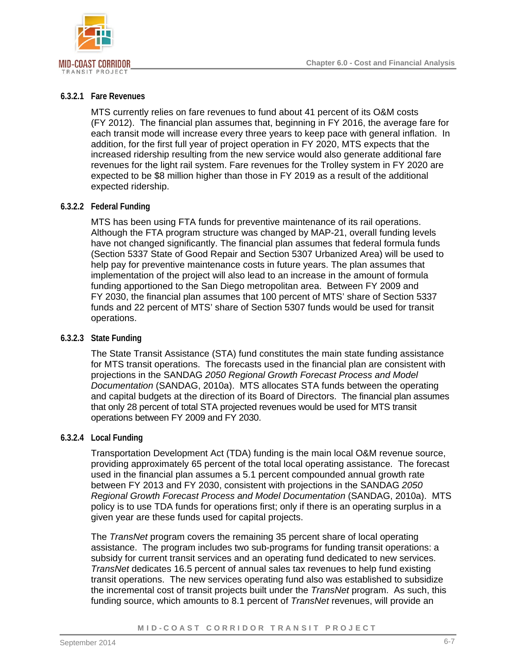

#### **6.3.2.1 Fare Revenues**

MTS currently relies on fare revenues to fund about 41 percent of its O&M costs (FY 2012). The financial plan assumes that, beginning in FY 2016, the average fare for each transit mode will increase every three years to keep pace with general inflation. In addition, for the first full year of project operation in FY 2020, MTS expects that the increased ridership resulting from the new service would also generate additional fare revenues for the light rail system. Fare revenues for the Trolley system in FY 2020 are expected to be \$8 million higher than those in FY 2019 as a result of the additional expected ridership.

#### **6.3.2.2 Federal Funding**

MTS has been using FTA funds for preventive maintenance of its rail operations. Although the FTA program structure was changed by MAP-21, overall funding levels have not changed significantly. The financial plan assumes that federal formula funds (Section 5337 State of Good Repair and Section 5307 Urbanized Area) will be used to help pay for preventive maintenance costs in future years. The plan assumes that implementation of the project will also lead to an increase in the amount of formula funding apportioned to the San Diego metropolitan area. Between FY 2009 and FY 2030, the financial plan assumes that 100 percent of MTS' share of Section 5337 funds and 22 percent of MTS' share of Section 5307 funds would be used for transit operations.

## **6.3.2.3 State Funding**

The State Transit Assistance (STA) fund constitutes the main state funding assistance for MTS transit operations. The forecasts used in the financial plan are consistent with projections in the SANDAG *2050 Regional Growth Forecast Process and Model Documentation* (SANDAG, 2010a). MTS allocates STA funds between the operating and capital budgets at the direction of its Board of Directors. The financial plan assumes that only 28 percent of total STA projected revenues would be used for MTS transit operations between FY 2009 and FY 2030.

#### **6.3.2.4 Local Funding**

Transportation Development Act (TDA) funding is the main local O&M revenue source, providing approximately 65 percent of the total local operating assistance. The forecast used in the financial plan assumes a 5.1 percent compounded annual growth rate between FY 2013 and FY 2030, consistent with projections in the SANDAG *2050 Regional Growth Forecast Process and Model Documentation* (SANDAG, 2010a). MTS policy is to use TDA funds for operations first; only if there is an operating surplus in a given year are these funds used for capital projects.

The *TransNet* program covers the remaining 35 percent share of local operating assistance. The program includes two sub-programs for funding transit operations: a subsidy for current transit services and an operating fund dedicated to new services. *TransNet* dedicates 16.5 percent of annual sales tax revenues to help fund existing transit operations. The new services operating fund also was established to subsidize the incremental cost of transit projects built under the *TransNet* program. As such, this funding source, which amounts to 8.1 percent of *TransNet* revenues, will provide an

#### MID-COAST CORRIDOR TRANSIT PROJECT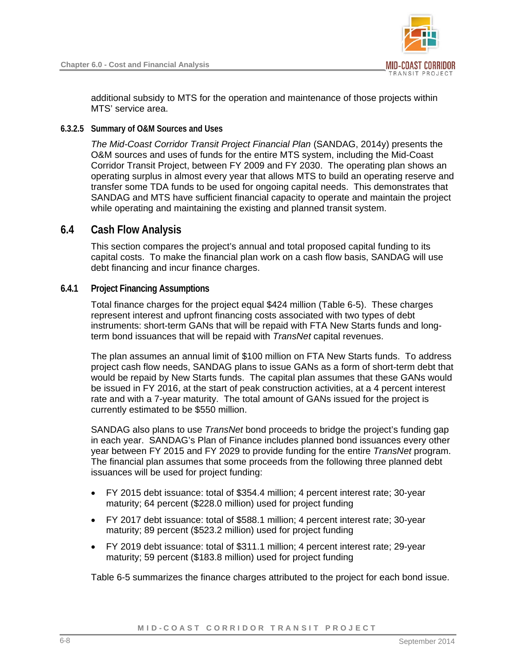

additional subsidy to MTS for the operation and maintenance of those projects within MTS' service area.

#### **6.3.2.5 Summary of O&M Sources and Uses**

*The Mid-Coast Corridor Transit Project Financial Plan* (SANDAG, 2014y) presents the O&M sources and uses of funds for the entire MTS system, including the Mid-Coast Corridor Transit Project, between FY 2009 and FY 2030. The operating plan shows an operating surplus in almost every year that allows MTS to build an operating reserve and transfer some TDA funds to be used for ongoing capital needs. This demonstrates that SANDAG and MTS have sufficient financial capacity to operate and maintain the project while operating and maintaining the existing and planned transit system.

## **6.4 Cash Flow Analysis**

<span id="page-7-0"></span>This section compares the project's annual and total proposed capital funding to its capital costs. To make the financial plan work on a cash flow basis, SANDAG will use debt financing and incur finance charges.

#### **6.4.1 Project Financing Assumptions**

Total finance charges for the project equal \$424 million ([Table 6-5](#page-8-0)). These charges represent interest and upfront financing costs associated with two types of debt instruments: short-term GANs that will be repaid with FTA New Starts funds and longterm bond issuances that will be repaid with *TransNet* capital revenues.

The plan assumes an annual limit of \$100 million on FTA New Starts funds. To address project cash flow needs, SANDAG plans to issue GANs as a form of short-term debt that would be repaid by New Starts funds. The capital plan assumes that these GANs would be issued in FY 2016, at the start of peak construction activities, at a 4 percent interest rate and with a 7-year maturity. The total amount of GANs issued for the project is currently estimated to be \$550 million.

SANDAG also plans to use *TransNet* bond proceeds to bridge the project's funding gap in each year. SANDAG's Plan of Finance includes planned bond issuances every other year between FY 2015 and FY 2029 to provide funding for the entire *TransNet* program. The financial plan assumes that some proceeds from the following three planned debt issuances will be used for project funding:

- FY 2015 debt issuance: total of \$354.4 million; 4 percent interest rate; 30-year maturity; 64 percent (\$228.0 million) used for project funding
- FY 2017 debt issuance: total of \$588.1 million; 4 percent interest rate; 30-year maturity; 89 percent (\$523.2 million) used for project funding
- FY 2019 debt issuance: total of \$311.1 million; 4 percent interest rate; 29-year maturity; 59 percent (\$183.8 million) used for project funding

[Table 6-5](#page-8-0) summarizes the finance charges attributed to the project for each bond issue.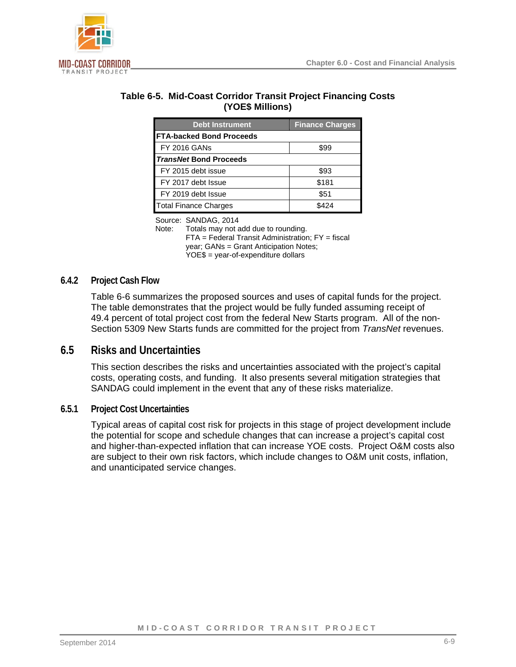

<span id="page-8-0"></span>

| Table 6-5. Mid-Coast Corridor Transit Project Financing Costs |  |
|---------------------------------------------------------------|--|
| (YOE\$ Millions)                                              |  |

| <b>Debt Instrument</b>          | <b>Finance Charges</b> |
|---------------------------------|------------------------|
| <b>FTA-backed Bond Proceeds</b> |                        |
| <b>FY 2016 GANs</b>             | \$99                   |
| <b>TransNet Bond Proceeds</b>   |                        |
| FY 2015 debt issue              | \$93                   |
| FY 2017 debt Issue              | \$181                  |
| FY 2019 debt Issue              | \$51                   |
| <b>Total Finance Charges</b>    | \$424                  |

Source: SANDAG, 2014

Note: Totals may not add due to rounding. FTA = Federal Transit Administration; FY = fiscal year; GANs = Grant Anticipation Notes; YOE\$ = year-of-expenditure dollars

#### **6.4.2 Project Cash Flow**

[Table 6-6](#page-9-0) summarizes the proposed sources and uses of capital funds for the project. The table demonstrates that the project would be fully funded assuming receipt of 49.4 percent of total project cost from the federal New Starts program. All of the non-Section 5309 New Starts funds are committed for the project from *TransNet* revenues.

## **6.5 Risks and Uncertainties**

This section describes the risks and uncertainties associated with the project's capital costs, operating costs, and funding. It also presents several mitigation strategies that SANDAG could implement in the event that any of these risks materialize.

## **6.5.1 Project Cost Uncertainties**

Typical areas of capital cost risk for projects in this stage of project development include the potential for scope and schedule changes that can increase a project's capital cost and higher-than-expected inflation that can increase YOE costs. Project O&M costs also are subject to their own risk factors, which include changes to O&M unit costs, inflation, and unanticipated service changes.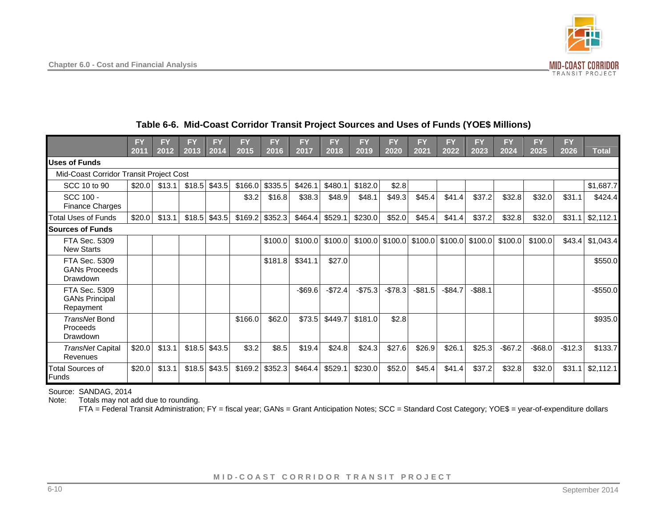

## <span id="page-9-0"></span>**Table 6-6. Mid-Coast Corridor Transit Project Sources and Uses of Funds (YOE\$ Millions)**

|                                                     | <b>FY</b><br>2011 | FY<br>2012 | FY<br>2013 | <b>FY</b><br>2014 | <b>FY</b><br>2015 | <b>FY</b><br>2016 | <b>FY</b><br>2017 | <b>FY</b><br>2018 | <b>FY</b><br>2019 | <b>FY</b><br>2020 | <b>FY</b><br>2021 | <b>FY</b><br>2022 | <b>FY</b><br>2023          | <b>FY</b><br>2024 | <b>FY</b><br>2025 | <b>FY</b><br>2026 | <b>Total</b> |
|-----------------------------------------------------|-------------------|------------|------------|-------------------|-------------------|-------------------|-------------------|-------------------|-------------------|-------------------|-------------------|-------------------|----------------------------|-------------------|-------------------|-------------------|--------------|
| <b>Uses of Funds</b>                                |                   |            |            |                   |                   |                   |                   |                   |                   |                   |                   |                   |                            |                   |                   |                   |              |
| Mid-Coast Corridor Transit Project Cost             |                   |            |            |                   |                   |                   |                   |                   |                   |                   |                   |                   |                            |                   |                   |                   |              |
| SCC 10 to 90                                        | \$20.0            | \$13.1     | \$18.5     | \$43.5            | \$166.0           | \$335.5           | \$426.1           | \$480.1           | \$182.0           | \$2.8             |                   |                   |                            |                   |                   |                   | \$1,687.7    |
| SCC 100 -<br><b>Finance Charges</b>                 |                   |            |            |                   | \$3.2             | \$16.8            | \$38.3            | \$48.9            | \$48.1            | \$49.3            | \$45.4            | \$41.4            | \$37.2                     | \$32.8            | \$32.0            | \$31.1            | \$424.4      |
| <b>Total Uses of Funds</b>                          | \$20.0            | \$13.1     | \$18.5     | \$43.5            | \$169.2           | \$352.3           | \$464.4           | \$529.1           | \$230.0           | \$52.0            | \$45.4            | \$41.4            | \$37.2                     | \$32.8            | \$32.0            | \$31.1            | \$2,112.1    |
| <b>Sources of Funds</b>                             |                   |            |            |                   |                   |                   |                   |                   |                   |                   |                   |                   |                            |                   |                   |                   |              |
| FTA Sec. 5309<br><b>New Starts</b>                  |                   |            |            |                   |                   | \$100.0           | \$100.0           | \$100.0           |                   | $$100.0$ $$100.0$ |                   |                   | $$100.0$ $$100.0$ $$100.0$ | \$100.0           | \$100.0           | \$43.4            | \$1,043.4    |
| FTA Sec. 5309<br><b>GANs Proceeds</b><br>Drawdown   |                   |            |            |                   |                   | \$181.8           | \$341.1           | \$27.0            |                   |                   |                   |                   |                            |                   |                   |                   | \$550.0      |
| FTA Sec. 5309<br><b>GANs Principal</b><br>Repayment |                   |            |            |                   |                   |                   | $-$ \$69.6        | $-$72.4$          | $-$75.3$          | $-$78.3$          | $-$ \$81.5        | $-$84.7$          | $-$ \$88.1                 |                   |                   |                   | $-$ \$550.0  |
| TransNet Bond<br>Proceeds<br>Drawdown               |                   |            |            |                   | \$166.0           | \$62.0            | \$73.5            | \$449.7           | \$181.0           | \$2.8             |                   |                   |                            |                   |                   |                   | \$935.0      |
| TransNet Capital<br>Revenues                        | \$20.0            | \$13.1     | \$18.5     | \$43.5            | \$3.2             | \$8.5             | \$19.4            | \$24.8            | \$24.3            | \$27.6            | \$26.9            | \$26.1            | \$25.3                     | $-$67.2$          | $-$ \$68.0        | $-$12.3$          | \$133.7      |
| <b>Total Sources of</b><br>Funds                    | \$20.0            | \$13.1     | \$18.5     | \$43.5            | \$169.2           | \$352.3           | \$464.4           | \$529.1           | \$230.0           | \$52.0            | \$45.4            | \$41.4            | \$37.2                     | \$32.8            | \$32.0            | \$31.1            | \$2,112.1    |

Source: SANDAG, 2014

Note: Totals may not add due to rounding.

FTA = Federal Transit Administration; FY = fiscal year; GANs = Grant Anticipation Notes; SCC = Standard Cost Category; YOE\$ = year-of-expenditure dollars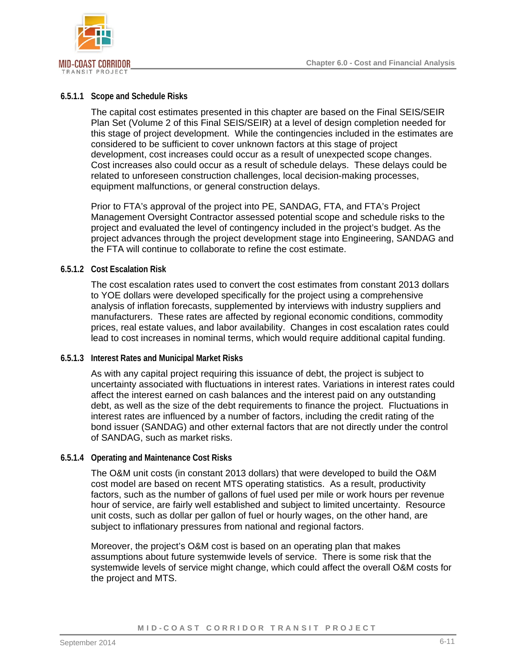

#### **6.5.1.1 Scope and Schedule Risks**

The capital cost estimates presented in this chapter are based on the Final SEIS/SEIR Plan Set (Volume 2 of this Final SEIS/SEIR) at a level of design completion needed for this stage of project development. While the contingencies included in the estimates are considered to be sufficient to cover unknown factors at this stage of project development, cost increases could occur as a result of unexpected scope changes. Cost increases also could occur as a result of schedule delays. These delays could be related to unforeseen construction challenges, local decision-making processes, equipment malfunctions, or general construction delays.

Prior to FTA's approval of the project into PE, SANDAG, FTA, and FTA's Project Management Oversight Contractor assessed potential scope and schedule risks to the project and evaluated the level of contingency included in the project's budget. As the project advances through the project development stage into Engineering, SANDAG and the FTA will continue to collaborate to refine the cost estimate.

#### **6.5.1.2 Cost Escalation Risk**

The cost escalation rates used to convert the cost estimates from constant 2013 dollars to YOE dollars were developed specifically for the project using a comprehensive analysis of inflation forecasts, supplemented by interviews with industry suppliers and manufacturers. These rates are affected by regional economic conditions, commodity prices, real estate values, and labor availability. Changes in cost escalation rates could lead to cost increases in nominal terms, which would require additional capital funding.

#### **6.5.1.3 Interest Rates and Municipal Market Risks**

As with any capital project requiring this issuance of debt, the project is subject to uncertainty associated with fluctuations in interest rates. Variations in interest rates could affect the interest earned on cash balances and the interest paid on any outstanding debt, as well as the size of the debt requirements to finance the project. Fluctuations in interest rates are influenced by a number of factors, including the credit rating of the bond issuer (SANDAG) and other external factors that are not directly under the control of SANDAG, such as market risks.

#### **6.5.1.4 Operating and Maintenance Cost Risks**

The O&M unit costs (in constant 2013 dollars) that were developed to build the O&M cost model are based on recent MTS operating statistics. As a result, productivity factors, such as the number of gallons of fuel used per mile or work hours per revenue hour of service, are fairly well established and subject to limited uncertainty. Resource unit costs, such as dollar per gallon of fuel or hourly wages, on the other hand, are subject to inflationary pressures from national and regional factors.

Moreover, the project's O&M cost is based on an operating plan that makes assumptions about future systemwide levels of service. There is some risk that the systemwide levels of service might change, which could affect the overall O&M costs for the project and MTS.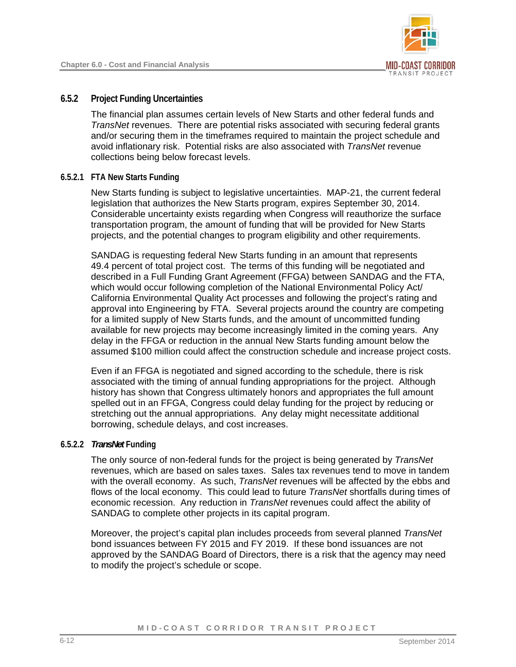

## **6.5.2 Project Funding Uncertainties**

The financial plan assumes certain levels of New Starts and other federal funds and *TransNet* revenues. There are potential risks associated with securing federal grants and/or securing them in the timeframes required to maintain the project schedule and avoid inflationary risk. Potential risks are also associated with *TransNet* revenue collections being below forecast levels.

## **6.5.2.1 FTA New Starts Funding**

<span id="page-11-0"></span>New Starts funding is subject to legislative uncertainties. MAP-21, the current federal legislation that authorizes the New Starts program, expires September 30, 2014. Considerable uncertainty exists regarding when Congress will reauthorize the surface transportation program, the amount of funding that will be provided for New Starts projects, and the potential changes to program eligibility and other requirements.

SANDAG is requesting federal New Starts funding in an amount that represents 49.4 percent of total project cost. The terms of this funding will be negotiated and described in a Full Funding Grant Agreement (FFGA) between SANDAG and the FTA, which would occur following completion of the National Environmental Policy Act/ California Environmental Quality Act processes and following the project's rating and approval into Engineering by FTA. Several projects around the country are competing for a limited supply of New Starts funds, and the amount of uncommitted funding available for new projects may become increasingly limited in the coming years. Any delay in the FFGA or reduction in the annual New Starts funding amount below the assumed \$100 million could affect the construction schedule and increase project costs.

Even if an FFGA is negotiated and signed according to the schedule, there is risk associated with the timing of annual funding appropriations for the project. Although history has shown that Congress ultimately honors and appropriates the full amount spelled out in an FFGA, Congress could delay funding for the project by reducing or stretching out the annual appropriations. Any delay might necessitate additional borrowing, schedule delays, and cost increases.

## **6.5.2.2** *TransNet* **Funding**

The only source of non-federal funds for the project is being generated by *TransNet* revenues, which are based on sales taxes. Sales tax revenues tend to move in tandem with the overall economy. As such, *TransNet* revenues will be affected by the ebbs and flows of the local economy. This could lead to future *TransNet* shortfalls during times of economic recession. Any reduction in *TransNet* revenues could affect the ability of SANDAG to complete other projects in its capital program.

Moreover, the project's capital plan includes proceeds from several planned *TransNet* bond issuances between FY 2015 and FY 2019. If these bond issuances are not approved by the SANDAG Board of Directors, there is a risk that the agency may need to modify the project's schedule or scope.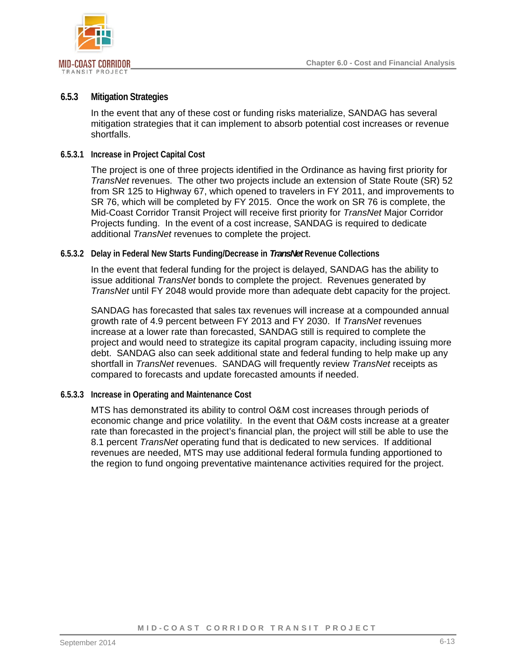

## **6.5.3 Mitigation Strategies**

In the event that any of these cost or funding risks materialize, SANDAG has several mitigation strategies that it can implement to absorb potential cost increases or revenue shortfalls.

#### **6.5.3.1 Increase in Project Capital Cost**

The project is one of three projects identified in the Ordinance as having first priority for *TransNet* revenues. The other two projects include an extension of State Route (SR) 52 from SR 125 to Highway 67, which opened to travelers in FY 2011, and improvements to SR 76, which will be completed by FY 2015. Once the work on SR 76 is complete, the Mid-Coast Corridor Transit Project will receive first priority for *TransNet* Major Corridor Projects funding. In the event of a cost increase, SANDAG is required to dedicate additional *TransNet* revenues to complete the project.

#### **6.5.3.2 Delay in Federal New Starts Funding/Decrease in** *TransNet* **Revenue Collections**

In the event that federal funding for the project is delayed, SANDAG has the ability to issue additional *TransNet* bonds to complete the project. Revenues generated by *TransNet* until FY 2048 would provide more than adequate debt capacity for the project.

SANDAG has forecasted that sales tax revenues will increase at a compounded annual growth rate of 4.9 percent between FY 2013 and FY 2030. If *TransNet* revenues increase at a lower rate than forecasted, SANDAG still is required to complete the project and would need to strategize its capital program capacity, including issuing more debt. SANDAG also can seek additional state and federal funding to help make up any shortfall in *TransNet* revenues. SANDAG will frequently review *TransNet* receipts as compared to forecasts and update forecasted amounts if needed.

#### **6.5.3.3 Increase in Operating and Maintenance Cost**

MTS has demonstrated its ability to control O&M cost increases through periods of economic change and price volatility. In the event that O&M costs increase at a greater rate than forecasted in the project's financial plan, the project will still be able to use the 8.1 percent *TransNet* operating fund that is dedicated to new services. If additional revenues are needed, MTS may use additional federal formula funding apportioned to the region to fund ongoing preventative maintenance activities required for the project.